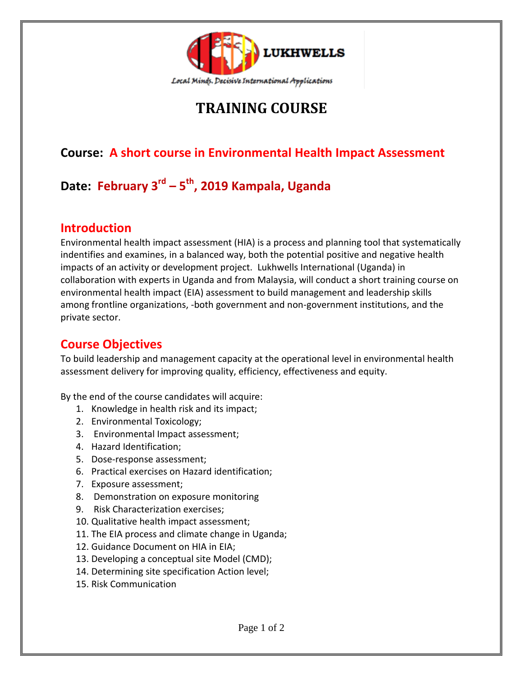

# **TRAINING COURSE**

## **Course: A short course in Environmental Health Impact Assessment**

# **Date: February 3rd – 5 th , 2019 Kampala, Uganda**

#### **Introduction**

Environmental health impact assessment (HIA) is a process and planning tool that systematically indentifies and examines, in a balanced way, both the potential positive and negative health impacts of an activity or development project. Lukhwells International (Uganda) in collaboration with experts in Uganda and from Malaysia, will conduct a short training course on environmental health impact (EIA) assessment to build management and leadership skills among frontline organizations, -both government and non-government institutions, and the private sector.

#### **Course Objectives**

To build leadership and management capacity at the operational level in environmental health assessment delivery for improving quality, efficiency, effectiveness and equity.

By the end of the course candidates will acquire:

- 1. Knowledge in health risk and its impact;
- 2. Environmental Toxicology;
- 3. Environmental Impact assessment;
- 4. Hazard Identification;
- 5. Dose-response assessment;
- 6. Practical exercises on Hazard identification;
- 7. Exposure assessment;
- 8. Demonstration on exposure monitoring
- 9. Risk Characterization exercises;
- 10. Qualitative health impact assessment;
- 11. The EIA process and climate change in Uganda;
- 12. Guidance Document on HIA in EIA;
- 13. Developing a conceptual site Model (CMD);
- 14. Determining site specification Action level;
- 15. Risk Communication